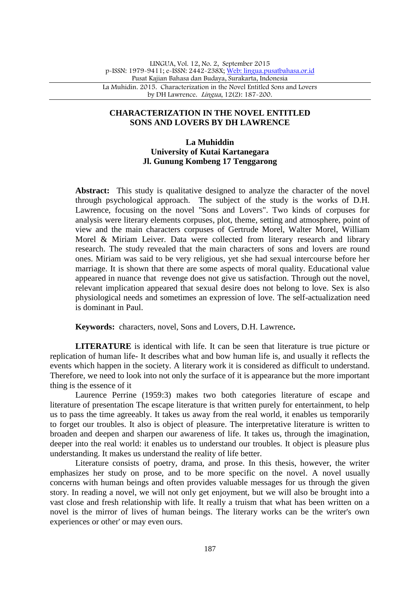### **CHARACTERIZATION IN THE NOVEL ENTITLED SONS AND LOVERS BY DH LAWRENCE**

# **La Muhiddin University of Kutai Kartanegara Jl. Gunung Kombeng 17 Tenggarong**

Abstract: This study is qualitative designed to analyze the character of the novel through psychological approach. The subject of the study is the works of D.H. Lawrence, focusing on the novel "Sons and Lovers". Two kinds of corpuses for analysis were literary elements corpuses, plot, theme, setting and atmosphere, point of view and the main characters corpuses of Gertrude Morel, Walter Morel, William Morel & Miriam Leiver. Data were collected from literary research and library research. The study revealed that the main characters of sons and lovers are round ones. Miriam was said to be very religious, yet she had sexual intercourse before her marriage. It is shown that there are some aspects of moral quality. Educational value appeared in nuance that revenge does not give us satisfaction. Through out the novel, relevant implication appeared that sexual desire does not belong to love. Sex is also physiological needs and sometimes an expression of love. The self-actualization need is dominant in Paul.

**Keywords:** characters, novel, Sons and Lovers, D.H. Lawrence**.**

**LITERATURE** is identical with life. It can be seen that literature is true picture or replication of human life- It describes what and bow human life is, and usually it reflects the events which happen in the society. A literary work it is considered as difficult to understand. Therefore, we need to look into not only the surface of it is appearance but the more important thing is the essence of it

Laurence Perrine (1959:3) makes two both categories literature of escape and literature of presentation The escape literature is that written purely for entertainment, to help us to pass the time agreeably. It takes us away from the real world, it enables us temporarily to forget our troubles. It also is object of pleasure. The interpretative literature is written to broaden and deepen and sharpen our awareness of life. It takes us, through the imagination, deeper into the real world: it enables us to understand our troubles. It object is pleasure plus understanding. It makes us understand the reality of life better.

Literature consists of poetry, drama, and prose. In this thesis, however, the writer emphasizes her study on prose, and to be more specific on the novel. A novel usually concerns with human beings and often provides valuable messages for us through the given story. In reading a novel, we will not only get enjoyment, but we will also be brought into a vast close and fresh relationship with life. It really a truism that what has been written on a novel is the mirror of lives of human beings. The literary works can be the writer's own experiences or other' or may even ours.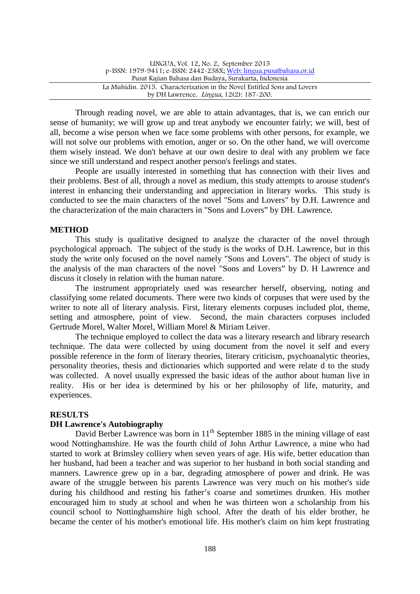| LINGUA, Vol. 12, No. 2, September 2015                                   |
|--------------------------------------------------------------------------|
| p-ISSN: 1979-9411; e-ISSN: 2442-238X; Web: lingua.pusatbahasa.or.id      |
| Pusat Kajian Bahasa dan Budaya, Surakarta, Indonesia                     |
| La Muhidin, 2015. Characterization in the Novel Entitled Sons and Lovers |
| by DH Lawrence. <i>Lingua</i> , 12(2): 187-200.                          |

Through reading novel, we are able to attain advantages, that is, we can enrich our sense of humanity; we will grow up and treat anybody we encounter fairly; we will, best of all, become a wise person when we face some problems with other persons, for example, we will not solve our problems with emotion, anger or so. On the other hand, we will overcome them wisely instead. We don't behave at our own desire to deal with any problem we face since we still understand and respect another person's feelings and states.

People are usually interested in something that has connection with their lives and their problems. Best of all, through a novel as medium, this study attempts to arouse student's interest in enhancing their understanding and appreciation in literary works. This study is conducted to see the main characters of the novel "Sons and Lovers" by D.H. Lawrence and the characterization of the main characters in "Sons and Lovers" by DH. Lawrence.

#### **METHOD**

This study is qualitative designed to analyze the character of the novel through psychological approach. The subject of the study is the works of D.H. Lawrence, but in this study the write only focused on the novel namely "Sons and Lovers". The object of study is the analysis of the man characters of the novel "Sons and Lovers" by D. H Lawrence and discuss it closely in relation with the human nature.

The instrument appropriately used was researcher herself, observing, noting and classifying some related documents. There were two kinds of corpuses that were used by the writer to note all of literary analysis. First, literary elements corpuses included plot, theme, setting and atmosphere, point of view. Second, the main characters corpuses included Gertrude Morel, Walter Morel, William Morel & Miriam Leiver.

The technique employed to collect the data was a literary research and library research technique. The data were collected by using document from the novel it self and every possible reference in the form of literary theories, literary criticism, psychoanalytic theories, personality theories, thesis and dictionaries which supported and were relate d to the study was collected. A novel usually expressed the basic ideas of the author about human live in reality. His or her idea is determined by his or her philosophy of life, maturity, and experiences.

#### **RESULTS**

### **DH Lawrence's Autobiography**

David Berber Lawrence was born in 11<sup>th</sup> September 1885 in the mining village of east wood Nottinghamshire. He was the fourth child of John Arthur Lawrence, a mine who had started to work at Brimsley colliery when seven years of age. His wife, better education than her husband, had been a teacher and was superior to her husband in both social standing and manners. Lawrence grew up in a bar, degrading atmosphere of power and drink. He was aware of the struggle between his parents Lawrence was very much on his mother's side during his childhood and resting his father's coarse and sometimes drunken. His mother encouraged him to study at school and when he was thirteen won a scholarship from his council school to Nottinghamshire high school. After the death of his elder brother, he became the center of his mother's emotional life. His mother's claim on him kept frustrating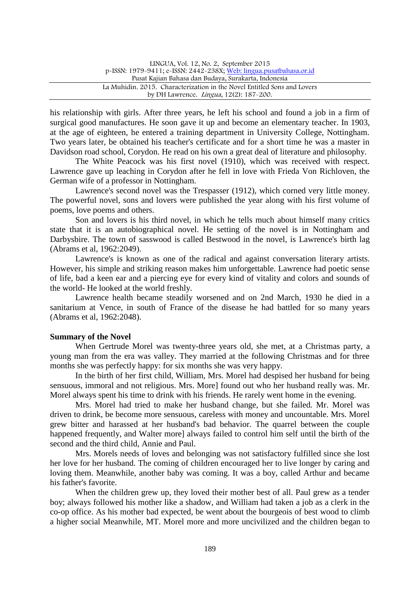| LINGUA, Vol. 12, No. 2, September 2015                                   |  |
|--------------------------------------------------------------------------|--|
| p-ISSN: 1979-9411; e-ISSN: 2442-238X; Web: lingua.pusatbahasa.or.id      |  |
| Pusat Kajian Bahasa dan Budaya, Surakarta, Indonesia                     |  |
| La Muhidin, 2015. Characterization in the Novel Entitled Sons and Lovers |  |
| by DH Lawrence. <i>Lingua</i> , 12(2): 187-200.                          |  |

his relationship with girls. After three years, he left his school and found a job in a firm of surgical good manufactures. He soon gave it up and become an elementary teacher. In 1903, at the age of eighteen, he entered a training department in University College, Nottingham. Two years later, be obtained his teacher's certificate and for a short time he was a master in Davidson road school, Corydon. He read on his own a great deal of literature and philosophy.

The White Peacock was his first novel (1910), which was received with respect. Lawrence gave up leaching in Corydon after he fell in love with Frieda Von Richloven, the German wife of a professor in Nottingham.

Lawrence's second novel was the Trespasser (1912), which corned very little money. The powerful novel, sons and lovers were published the year along with his first volume of poems, love poems and others.

Son and lovers is his third novel, in which he tells much about himself many critics state that it is an autobiographical novel. He setting of the novel is in Nottingham and Darbysbire. The town of sasswood is called Bestwood in the novel, is Lawrence's birth lag (Abrams et al, 1962:2049).

Lawrence's is known as one of the radical and against conversation literary artists. However, his simple and striking reason makes him unforgettable. Lawrence had poetic sense of life, bad a keen ear and a piercing eye for every kind of vitality and colors and sounds of the world- He looked at the world freshly.

Lawrence health became steadily worsened and on 2nd March, 1930 he died in a sanitarium at Vence, in south of France of the disease he had battled for so many years (Abrams et al, 1962:2048).

### **Summary of the Novel**

When Gertrude Morel was twenty-three years old, she met, at a Christmas party, a young man from the era was valley. They married at the following Christmas and for three months she was perfectly happy: for six months she was very happy.

In the birth of her first child, William, Mrs. Morel had despised her husband for being sensuous, immoral and not religious. Mrs. More] found out who her husband really was. Mr. Morel always spent his time to drink with his friends. He rarely went home in the evening.

Mrs. Morel had tried to make her husband change, but she failed. Mr. Morel was driven to drink, be become more sensuous, careless with money and uncountable. Mrs. Morel grew bitter and harassed at her husband's bad behavior. The quarrel between the couple happened frequently, and Walter more] always failed to control him self until the birth of the second and the third child, Annie and Paul.

Mrs. Morels needs of loves and belonging was not satisfactory fulfilled since she lost her love for her husband. The coming of children encouraged her to live longer by caring and loving them. Meanwhile, another baby was coming. It was a boy, called Arthur and became his father's favorite.

When the children grew up, they loved their mother best of all. Paul grew as a tender boy; always followed his mother like a shadow, and William had taken a job as a clerk in the co-op office. As his mother bad expected, be went about the bourgeois of best wood to climb a higher social Meanwhile, MT. Morel more and more uncivilized and the children began to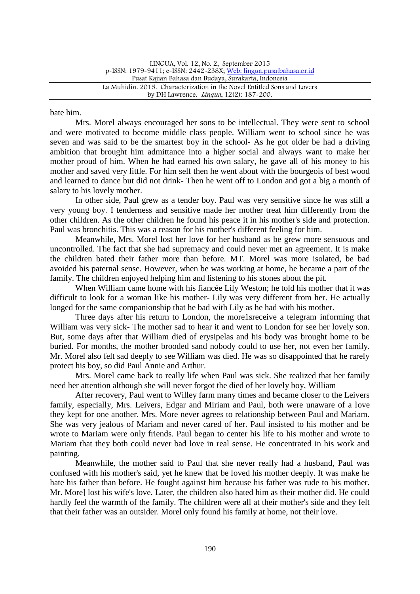LINGUA, Vol. 12, No. 2, September 2015 p-ISSN: 1979-9411; e-ISSN: 2442-238X; Web: lingua.pusatbahasa.or.id Pusat Kajian Bahasa dan Budaya, Surakarta, Indonesia La Muhidin. 2015. Characterization in the Novel Entitled Sons and Lovers by DH Lawrence. Lingua, 12(2): 187-200.

bate him.

Mrs. Morel always encouraged her sons to be intellectual. They were sent to school and were motivated to become middle class people. William went to school since he was seven and was said to be the smartest boy in the school- As he got older be had a driving ambition that brought him admittance into a higher social and always want to make her mother proud of him. When he had earned his own salary, he gave all of his money to his mother and saved very little. For him self then he went about with the bourgeois of best wood and learned to dance but did not drink- Then he went off to London and got a big a month of salary to his lovely mother.

In other side, Paul grew as a tender boy. Paul was very sensitive since he was still a very young boy. I tenderness and sensitive made her mother treat him differently from the other children. As the other children he found his peace it in his mother's side and protection. Paul was bronchitis. This was a reason for his mother's different feeling for him.

Meanwhile, Mrs. Morel lost her love for her husband as be grew more sensuous and uncontrolled. The fact that she had supremacy and could never met an agreement. It is make the children bated their father more than before. MT. Morel was more isolated, be bad avoided his paternal sense. However, when be was working at home, he became a part of the family. The children enjoyed helping him and listening to his stones about the pit.

When William came home with his fiancée Lily Weston; he told his mother that it was difficult to look for a woman like his mother- Lily was very different from her. He actually longed for the same companionship that he bad with Lily as he had with his mother.

Three days after his return to London, the more1sreceive a telegram informing that William was very sick- The mother sad to hear it and went to London for see her lovely son. But, some days after that William died of erysipelas and his body was brought home to be buried. For months, the mother brooded sand nobody could to use her, not even her family. Mr. Morel also felt sad deeply to see William was died. He was so disappointed that he rarely protect his boy, so did Paul Annie and Arthur.

Mrs. Morel came back to really life when Paul was sick. She realized that her family need her attention although she will never forgot the died of her lovely boy, William

After recovery, Paul went to Willey farm many times and became closer to the Leivers family, especially, Mrs. Leivers, Edgar and Miriam and Paul, both were unaware of a love they kept for one another. Mrs. More never agrees to relationship between Paul and Mariam. She was very jealous of Mariam and never cared of her. Paul insisted to his mother and be wrote to Mariam were only friends. Paul began to center his life to his mother and wrote to Mariam that they both could never bad love in real sense. He concentrated in his work and painting.

Meanwhile, the mother said to Paul that she never really had a husband, Paul was confused with his mother's said, yet he knew that be loved his mother deeply. It was make he hate his father than before. He fought against him because his father was rude to his mother. Mr. More] lost his wife's love. Later, the children also hated him as their mother did. He could hardly feel the warmth of the family. The children were all at their mother's side and they felt that their father was an outsider. Morel only found his family at home, not their love.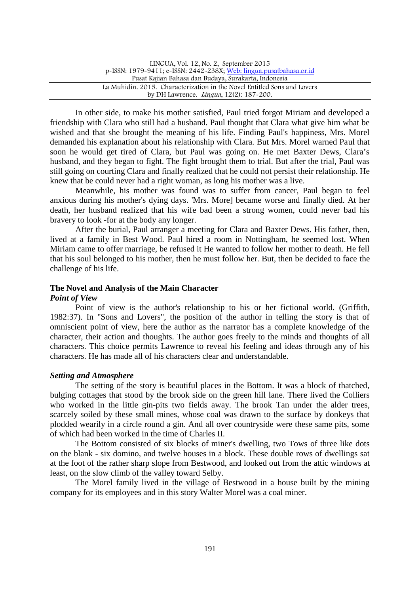| LINGUA, Vol. 12, No. 2, September 2015                                   |  |
|--------------------------------------------------------------------------|--|
| p-ISSN: 1979-9411; e-ISSN: 2442-238X; Web: lingua.pusatbahasa.or.id      |  |
| Pusat Kajian Bahasa dan Budaya, Surakarta, Indonesia                     |  |
| La Muhidin, 2015. Characterization in the Novel Entitled Sons and Lovers |  |
| by DH Lawrence. <i>Lingua</i> , 12(2): 187-200.                          |  |

In other side, to make his mother satisfied, Paul tried forgot Miriam and developed a friendship with Clara who still had a husband. Paul thought that Clara what give him what be wished and that she brought the meaning of his life. Finding Paul's happiness, Mrs. Morel demanded his explanation about his relationship with Clara. But Mrs. Morel warned Paul that soon he would get tired of Clara, but Paul was going on. He met Baxter Dews, Clara's husband, and they began to fight. The fight brought them to trial. But after the trial, Paul was still going on courting Clara and finally realized that he could not persist their relationship. He knew that be could never had a right woman, as long his mother was a live.

Meanwhile, his mother was found was to suffer from cancer, Paul began to feel anxious during his mother's dying days. 'Mrs. More] became worse and finally died. At her death, her husband realized that his wife bad been a strong women, could never bad his bravery to look -for at the body any longer.

After the burial, Paul arranger a meeting for Clara and Baxter Dews. His father, then, lived at a family in Best Wood. Paul hired a room in Nottingham, he seemed lost. When Miriam came to offer marriage, be refused it He wanted to follow her mother to death. He fell that his soul belonged to his mother, then he must follow her. But, then be decided to face the challenge of his life.

#### **The Novel and Analysis of the Main Character**

#### *Point of View*

Point of view is the author's relationship to his or her fictional world. (Griffith, 1982:37). In "Sons and Lovers", the position of the author in telling the story is that of omniscient point of view, here the author as the narrator has a complete knowledge of the character, their action and thoughts. The author goes freely to the minds and thoughts of all characters. This choice permits Lawrence to reveal his feeling and ideas through any of his characters. He has made all of his characters clear and understandable.

### *Setting and Atmosphere*

The setting of the story is beautiful places in the Bottom. It was a block of thatched, bulging cottages that stood by the brook side on the green hill lane. There lived the Colliers who worked in the little gin-pits two fields away. The brook Tan under the alder trees, scarcely soiled by these small mines, whose coal was drawn to the surface by donkeys that plodded wearily in a circle round a gin. And all over countryside were these same pits, some of which had been worked in the time of Charles II.

The Bottom consisted of six blocks of miner's dwelling, two Tows of three like dots on the blank - six domino, and twelve houses in a block. These double rows of dwellings sat at the foot of the rather sharp slope from Bestwood, and looked out from the attic windows at least, on the slow climb of the valley toward Selby.

The Morel family lived in the village of Bestwood in a house built by the mining company for its employees and in this story Walter Morel was a coal miner.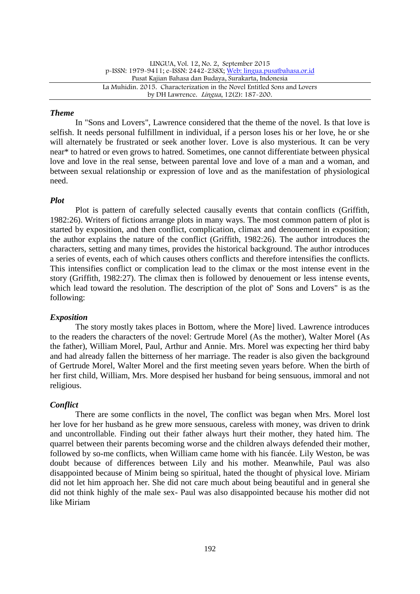LINGUA, Vol. 12, No. 2, September 2015 p-ISSN: 1979-9411; e-ISSN: 2442-238X; Web: lingua.pusatbahasa.or.id Pusat Kajian Bahasa dan Budaya, Surakarta, Indonesia La Muhidin. 2015. Characterization in the Novel Entitled Sons and Lovers by DH Lawrence. Lingua, 12(2): 187-200.

### *Theme*

In "Sons and Lovers", Lawrence considered that the theme of the novel. Is that love is selfish. It needs personal fulfillment in individual, if a person loses his or her love, he or she will alternately be frustrated or seek another lover. Love is also mysterious. It can be very near\* to hatred or even grows to hatred. Sometimes, one cannot differentiate between physical love and love in the real sense, between parental love and love of a man and a woman, and between sexual relationship or expression of love and as the manifestation of physiological need.

## *Plot*

Plot is pattern of carefully selected causally events that contain conflicts (Griffith, 1982:26). Writers of fictions arrange plots in many ways. The most common pattern of plot is started by exposition, and then conflict, complication, climax and denouement in exposition; the author explains the nature of the conflict (Griffith, 1982:26). The author introduces the characters, setting and many times, provides the historical background. The author introduces a series of events, each of which causes others conflicts and therefore intensifies the conflicts. This intensifies conflict or complication lead to the climax or the most intense event in the story (Griffith, 1982:27). The climax then is followed by denouement or less intense events, which lead toward the resolution. The description of the plot of' Sons and Lovers" is as the following:

## *Exposition*

The story mostly takes places in Bottom, where the More] lived. Lawrence introduces to the readers the characters of the novel: Gertrude Morel (As the mother), Walter Morel (As the father), William Morel, Paul, Arthur and Annie. Mrs. Morel was expecting her third baby and had already fallen the bitterness of her marriage. The reader is also given the background of Gertrude Morel, Walter Morel and the first meeting seven years before. When the birth of her first child, William, Mrs. More despised her husband for being sensuous, immoral and not religious.

## *Conflict*

There are some conflicts in the novel, The conflict was began when Mrs. Morel lost her love for her husband as he grew more sensuous, careless with money, was driven to drink and uncontrollable. Finding out their father always hurt their mother, they hated him. The quarrel between their parents becoming worse and the children always defended their mother, followed by so-me conflicts, when William came home with his fiancée. Lily Weston, be was doubt because of differences between Lily and his mother. Meanwhile, Paul was also disappointed because of Minim being so spiritual, hated the thought of physical love. Miriam did not let him approach her. She did not care much about being beautiful and in general she did not think highly of the male sex- Paul was also disappointed because his mother did not like Miriam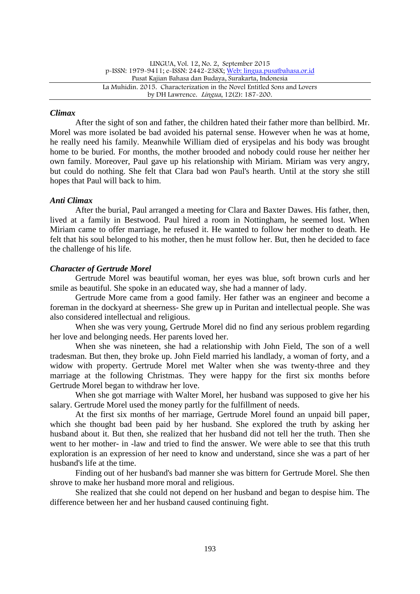### *Climax*

After the sight of son and father, the children hated their father more than bellbird. Mr. Morel was more isolated be bad avoided his paternal sense. However when he was at home, he really need his family. Meanwhile William died of erysipelas and his body was brought home to be buried. For months, the mother brooded and nobody could rouse her neither her own family. Moreover, Paul gave up his relationship with Miriam. Miriam was very angry, but could do nothing. She felt that Clara bad won Paul's hearth. Until at the story she still hopes that Paul will back to him.

## *Anti Climax*

After the burial, Paul arranged a meeting for Clara and Baxter Dawes. His father, then, lived at a family in Bestwood. Paul hired a room in Nottingham, he seemed lost. When Miriam came to offer marriage, he refused it. He wanted to follow her mother to death. He felt that his soul belonged to his mother, then he must follow her. But, then he decided to face the challenge of his life.

# *Character of Gertrude Morel*

Gertrude Morel was beautiful woman, her eyes was blue, soft brown curls and her smile as beautiful. She spoke in an educated way, she had a manner of lady.

Gertrude More came from a good family. Her father was an engineer and become a foreman in the dockyard at sheerness- She grew up in Puritan and intellectual people. She was also considered intellectual and religious.

When she was very young, Gertrude Morel did no find any serious problem regarding her love and belonging needs. Her parents loved her.

When she was nineteen, she had a relationship with John Field, The son of a well tradesman. But then, they broke up. John Field married his landlady, a woman of forty, and a widow with property. Gertrude Morel met Walter when she was twenty-three and they marriage at the following Christmas. They were happy for the first six months before Gertrude Morel began to withdraw her love.

When she got marriage with Walter Morel, her husband was supposed to give her his salary. Gertrude Morel used the money partly for the fulfillment of needs.

At the first six months of her marriage, Gertrude Morel found an unpaid bill paper, which she thought bad been paid by her husband. She explored the truth by asking her husband about it. But then, she realized that her husband did not tell her the truth. Then she went to her mother- in -law and tried to find the answer. We were able to see that this truth exploration is an expression of her need to know and understand, since she was a part of her husband's life at the time.

Finding out of her husband's bad manner she was bittern for Gertrude Morel. She then shrove to make her husband more moral and religious.

She realized that she could not depend on her husband and began to despise him. The difference between her and her husband caused continuing fight.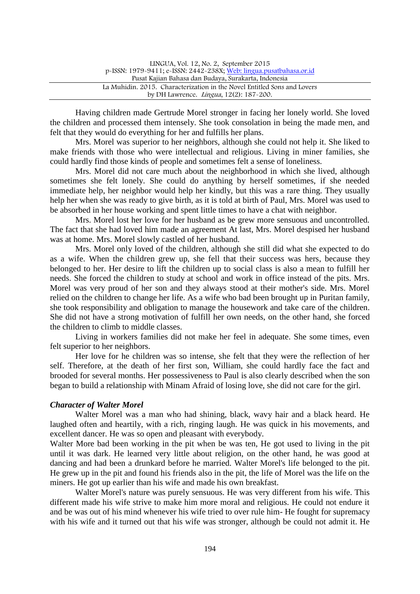| LINGUA, Vol. $12$ , No. 2, September 2015                                |  |
|--------------------------------------------------------------------------|--|
| p-ISSN: 1979-9411; e-ISSN: 2442-238X; Web: lingua.pusatbahasa.or.id      |  |
| Pusat Kajian Bahasa dan Budaya, Surakarta, Indonesia                     |  |
| La Muhidin. 2015. Characterization in the Novel Entitled Sons and Lovers |  |
| by DH Lawrence. <i>Lingua</i> , 12(2): 187-200.                          |  |

Having children made Gertrude Morel stronger in facing her lonely world. She loved the children and processed them intensely. She took consolation in being the made men, and felt that they would do everything for her and fulfills her plans.

Mrs. Morel was superior to her neighbors, although she could not help it. She liked to make friends with those who were intellectual and religious. Living in miner families, she could hardly find those kinds of people and sometimes felt a sense of loneliness.

Mrs. Morel did not care much about the neighborhood in which she lived, although sometimes she felt lonely. She could do anything by herself sometimes, if she needed immediate help, her neighbor would help her kindly, but this was a rare thing. They usually help her when she was ready to give birth, as it is told at birth of Paul, Mrs. Morel was used to be absorbed in her house working and spent little times to have a chat with neighbor.

Mrs. Morel lost her love for her husband as be grew more sensuous and uncontrolled. The fact that she had loved him made an agreement At last, Mrs. Morel despised her husband was at home. Mrs. Morel slowly castled of her husband.

Mrs. Morel only loved of the children, although she still did what she expected to do as a wife. When the children grew up, she fell that their success was hers, because they belonged to her. Her desire to lift the children up to social class is also a mean to fulfill her needs. She forced the children to study at school and work in office instead of the pits. Mrs. Morel was very proud of her son and they always stood at their mother's side. Mrs. Morel relied on the children to change her life. As a wife who bad been brought up in Puritan family, she took responsibility and obligation to manage the housework and take care of the children. She did not have a strong motivation of fulfill her own needs, on the other hand, she forced the children to climb to middle classes.

Living in workers families did not make her feel in adequate. She some times, even felt superior to her neighbors.

Her love for he children was so intense, she felt that they were the reflection of her self. Therefore, at the death of her first son, William, she could hardly face the fact and brooded for several months. Her possessiveness to Paul is also clearly described when the son began to build a relationship with Minam Afraid of losing love, she did not care for the girl.

### *Character of Walter Morel*

Walter Morel was a man who had shining, black, wavy hair and a black heard. He laughed often and heartily, with a rich, ringing laugh. He was quick in his movements, and excellent dancer. He was so open and pleasant with everybody.

Walter More bad been working in the pit when be was ten, He got used to living in the pit until it was dark. He learned very little about religion, on the other hand, he was good at dancing and had been a drunkard before he married. Walter Morel's life belonged to the pit. He grew up in the pit and found his friends also in the pit, the life of Morel was the life on the miners. He got up earlier than his wife and made his own breakfast.

Walter Morel's nature was purely sensuous. He was very different from his wife. This different made his wife strive to make him more moral and religious. He could not endure it and be was out of his mind whenever his wife tried to over rule him- He fought for supremacy with his wife and it turned out that his wife was stronger, although be could not admit it. He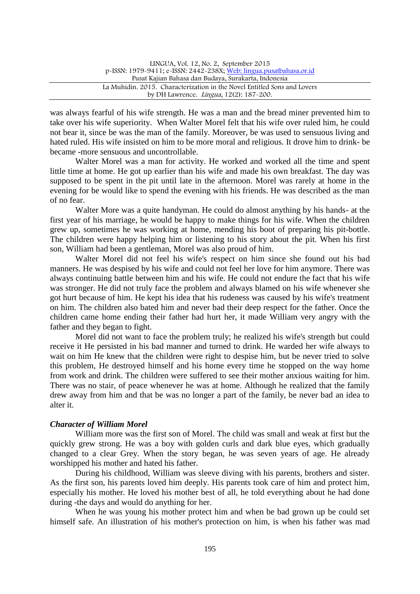was always fearful of his wife strength. He was a man and the bread miner prevented him to take over his wife superiority. When Walter Morel felt that his wife over ruled him, he could not bear it, since be was the man of the family. Moreover, be was used to sensuous living and hated ruled. His wife insisted on him to be more moral and religious. It drove him to drink- be became -more sensuous and uncontrollable.

Walter Morel was a man for activity. He worked and worked all the time and spent little time at home. He got up earlier than his wife and made his own breakfast. The day was supposed to be spent in the pit until late in the afternoon. Morel was rarely at home in the evening for be would like to spend the evening with his friends. He was described as the man of no fear.

Walter More was a quite handyman. He could do almost anything by his hands- at the first year of his marriage, he would be happy to make things for his wife. When the children grew up, sometimes he was working at home, mending his boot of preparing his pit-bottle. The children were happy helping him or listening to his story about the pit. When his first son, William had been a gentleman, Morel was also proud of him.

Walter Morel did not feel his wife's respect on him since she found out his bad manners. He was despised by his wife and could not feel her love for him anymore. There was always continuing battle between him and his wife. He could not endure the fact that his wife was stronger. He did not truly face the problem and always blamed on his wife whenever she got hurt because of him. He kept his idea that his rudeness was caused by his wife's treatment on him. The children also bated him and never bad their deep respect for the father. Once the children came home ending their father had hurt her, it made William very angry with the father and they began to fight.

Morel did not want to face the problem truly; he realized his wife's strength but could receive it He persisted in his bad manner and turned to drink. He warded her wife always to wait on him He knew that the children were right to despise him, but be never tried to solve this problem, He destroyed himself and his home every time he stopped on the way home from work and drink. The children were suffered to see their mother anxious waiting for him. There was no stair, of peace whenever he was at home. Although he realized that the family drew away from him and that be was no longer a part of the family, be never bad an idea to alter it.

### *Character of William Morel*

William more was the first son of Morel. The child was small and weak at first but the quickly grew strong. He was a boy with golden curls and dark blue eyes, which gradually changed to a clear Grey. When the story began, he was seven years of age. He already worshipped his mother and hated his father.

During his childhood, William was sleeve diving with his parents, brothers and sister. As the first son, his parents loved him deeply. His parents took care of him and protect him, especially his mother. He loved his mother best of all, he told everything about he had done during -the days and would do anything for her.

When he was young his mother protect him and when be bad grown up be could set himself safe. An illustration of his mother's protection on him, is when his father was mad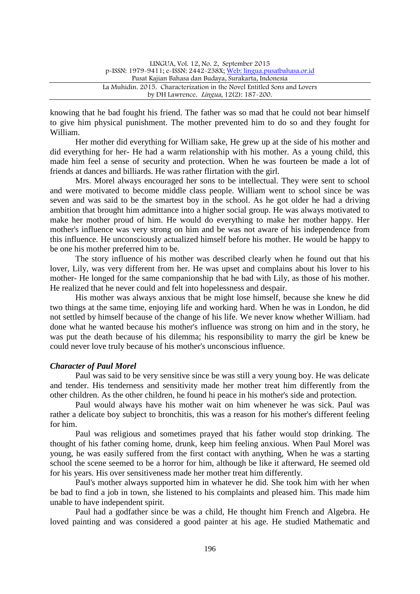| LINGUA, Vol. 12, No. 2, September 2015                                   |  |
|--------------------------------------------------------------------------|--|
| p-ISSN: 1979-9411; e-ISSN: 2442-238X; Web: lingua.pusatbahasa.or.id      |  |
| Pusat Kajian Bahasa dan Budaya, Surakarta, Indonesia                     |  |
| La Muhidin, 2015. Characterization in the Novel Entitled Sons and Lovers |  |
| by DH Lawrence. <i>Lingua</i> , 12(2): 187-200.                          |  |

knowing that he bad fought his friend. The father was so mad that he could not bear himself to give him physical punishment. The mother prevented him to do so and they fought for William.

Her mother did everything for William sake, He grew up at the side of his mother and did everything for her- He had a warm relationship with his mother. As a young child, this made him feel a sense of security and protection. When he was fourteen be made a lot of friends at dances and billiards. He was rather flirtation with the girl.

Mrs. Morel always encouraged her sons to be intellectual. They were sent to school and were motivated to become middle class people. William went to school since be was seven and was said to be the smartest boy in the school. As he got older he had a driving ambition that brought him admittance into a higher social group. He was always motivated to make her mother proud of him. He would do everything to make her mother happy. Her mother's influence was very strong on him and be was not aware of his independence from this influence. He unconsciously actualized himself before his mother. He would be happy to be one his mother preferred him to be.

The story influence of his mother was described clearly when he found out that his lover, Lily, was very different from her. He was upset and complains about his lover to his mother- He longed for the same companionship that he bad with Lily, as those of his mother. He realized that he never could and felt into hopelessness and despair.

His mother was always anxious that be might lose himself, because she knew he did two things at the same time, enjoying life and working hard. When he was in London, he did not settled by himself because of the change of his life. We never know whether William. had done what he wanted because his mother's influence was strong on him and in the story, he was put the death because of his dilemma; his responsibility to marry the girl be knew be could never love truly because of his mother's unconscious influence.

### *Character of Paul Morel*

Paul was said to be very sensitive since be was still a very young boy. He was delicate and tender. His tenderness and sensitivity made her mother treat him differently from the other children. As the other children, he found hi peace in his mother's side and protection.

Paul would always have his mother wait on him whenever he was sick. Paul was rather a delicate boy subject to bronchitis, this was a reason for his mother's different feeling for him.

Paul was religious and sometimes prayed that his father would stop drinking. The thought of his father coming home, drunk, keep him feeling anxious. When Paul Morel was young, he was easily suffered from the first contact with anything, When he was a starting school the scene seemed to be a horror for him, although be like it afterward, He seemed old for his years. His over sensitiveness made her mother treat him differently.

Paul's mother always supported him in whatever he did. She took him with her when be bad to find a job in town, she listened to his complaints and pleased him. This made him unable to have independent spirit.

Paul had a godfather since be was a child, He thought him French and Algebra. He loved painting and was considered a good painter at his age. He studied Mathematic and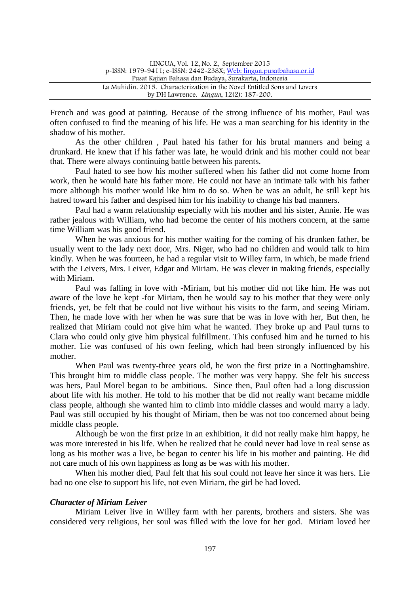| LINGUA, Vol. 12, No. 2, September 2015                                   |  |
|--------------------------------------------------------------------------|--|
| p-ISSN: 1979-9411; e-ISSN: 2442-238X; Web: lingua.pusatbahasa.or.id      |  |
| Pusat Kajian Bahasa dan Budaya, Surakarta, Indonesia                     |  |
| La Muhidin. 2015. Characterization in the Novel Entitled Sons and Lovers |  |
| by DH Lawrence. <i>Lingua</i> , 12(2): 187-200.                          |  |

French and was good at painting. Because of the strong influence of his mother, Paul was often confused to find the meaning of his life. He was a man searching for his identity in the shadow of his mother.

As the other children , Paul hated his father for his brutal manners and being a drunkard. He knew that if his father was late, he would drink and his mother could not bear that. There were always continuing battle between his parents.

Paul hated to see how his mother suffered when his father did not come home from work, then he would hate his father more. He could not have an intimate talk with his father more although his mother would like him to do so. When be was an adult, he still kept his hatred toward his father and despised him for his inability to change his bad manners.

Paul had a warm relationship especially with his mother and his sister, Annie. He was rather jealous with William, who had become the center of his mothers concern, at the same time William was his good friend.

When he was anxious for his mother waiting for the coming of his drunken father, be usually went to the lady next door, Mrs. Niger, who had no children and would talk to him kindly. When he was fourteen, he had a regular visit to Willey farm, in which, be made friend with the Leivers, Mrs. Leiver, Edgar and Miriam. He was clever in making friends, especially with Miriam.

Paul was falling in love with -Miriam, but his mother did not like him. He was not aware of the love he kept -for Miriam, then he would say to his mother that they were only friends, yet, be felt that be could not live without his visits to the farm, and seeing Miriam. Then, he made love with her when he was sure that be was in love with her, But then, he realized that Miriam could not give him what he wanted. They broke up and Paul turns to Clara who could only give him physical fulfillment. This confused him and he turned to his mother. Lie was confused of his own feeling, which had been strongly influenced by his mother.

When Paul was twenty-three years old, he won the first prize in a Nottinghamshire. This brought him to middle class people. The mother was very happy. She felt his success was hers, Paul Morel began to be ambitious. Since then, Paul often had a long discussion about life with his mother. He told to his mother that be did not really want became middle class people, although she wanted him to climb into middle classes and would marry a lady. Paul was still occupied by his thought of Miriam, then be was not too concerned about being middle class people.

Although be won the first prize in an exhibition, it did not really make him happy, he was more interested in his life. When he realized that he could never had love in real sense as long as his mother was a live, be began to center his life in his mother and painting. He did not care much of his own happiness as long as be was with his mother.

When his mother died, Paul felt that his soul could not leave her since it was hers. Lie bad no one else to support his life, not even Miriam, the girl be had loved.

### *Character of Miriam Leiver*

Miriam Leiver live in Willey farm with her parents, brothers and sisters. She was considered very religious, her soul was filled with the love for her god. Miriam loved her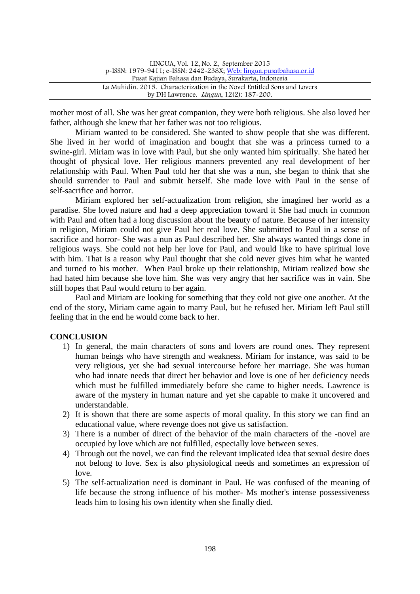| LINGUA, Vol. 12, No. 2, September 2015                                   |  |
|--------------------------------------------------------------------------|--|
| p-ISSN: 1979-9411; e-ISSN: 2442-238X; Web: lingua.pusatbahasa.or.id      |  |
| Pusat Kajian Bahasa dan Budaya, Surakarta, Indonesia                     |  |
| La Muhidin, 2015. Characterization in the Novel Entitled Sons and Lovers |  |
| by DH Lawrence. <i>Lingua</i> , 12(2): 187-200.                          |  |
|                                                                          |  |

mother most of all. She was her great companion, they were both religious. She also loved her father, although she knew that her father was not too religious.

Miriam wanted to be considered. She wanted to show people that she was different. She lived in her world of imagination and bought that she was a princess turned to a swine-girl. Miriam was in love with Paul, but she only wanted him spiritually. She hated her thought of physical love. Her religious manners prevented any real development of her relationship with Paul. When Paul told her that she was a nun, she began to think that she should surrender to Paul and submit herself. She made love with Paul in the sense of self-sacrifice and horror.

Miriam explored her self-actualization from religion, she imagined her world as a paradise. She loved nature and had a deep appreciation toward it She had much in common with Paul and often had a long discussion about the beauty of nature. Because of her intensity in religion, Miriam could not give Paul her real love. She submitted to Paul in a sense of sacrifice and horror- She was a nun as Paul described her. She always wanted things done in religious ways. She could not help her love for Paul, and would like to have spiritual love with him. That is a reason why Paul thought that she cold never gives him what he wanted and turned to his mother. When Paul broke up their relationship, Miriam realized bow she had hated him because she love him. She was very angry that her sacrifice was in vain. She still hopes that Paul would return to her again.

Paul and Miriam are looking for something that they cold not give one another. At the end of the story, Miriam came again to marry Paul, but he refused her. Miriam left Paul still feeling that in the end he would come back to her.

### **CONCLUSION**

- 1) In general, the main characters of sons and lovers are round ones. They represent human beings who have strength and weakness. Miriam for instance, was said to be very religious, yet she had sexual intercourse before her marriage. She was human who had innate needs that direct her behavior and love is one of her deficiency needs which must be fulfilled immediately before she came to higher needs. Lawrence is aware of the mystery in human nature and yet she capable to make it uncovered and understandable.
- 2) It is shown that there are some aspects of moral quality. In this story we can find an educational value, where revenge does not give us satisfaction.
- 3) There is a number of direct of the behavior of the main characters of the -novel are occupied by love which are not fulfilled, especially love between sexes.
- 4) Through out the novel, we can find the relevant implicated idea that sexual desire does not belong to love. Sex is also physiological needs and sometimes an expression of love.
- 5) The self-actualization need is dominant in Paul. He was confused of the meaning of life because the strong influence of his mother- Ms mother's intense possessiveness leads him to losing his own identity when she finally died.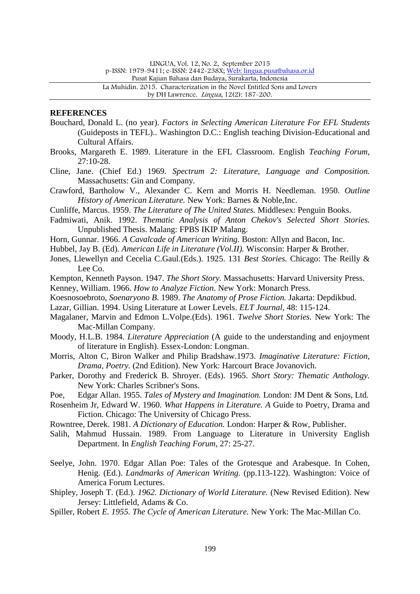LINGUA, Vol. 12, No. 2, September 2015

p-ISSN: 1979-9411; e-ISSN: 2442-238X; Web: lingua.pusatbahasa.or.id

Pusat Kajian Bahasa dan Budaya, Surakarta, Indonesia

La Muhidin. 2015. Characterization in the Novel Entitled Sons and Lovers by DH Lawrence. Lingua, 12(2): 187-200.

#### **REFERENCES**

- Bouchard, Donald L. (no year). *Factors in Selecting American Literature For EFL Students* (Guideposts in TEFL).. Washington D.C.: English teaching Division-Educational and Cultural Affairs.
- Brooks, Margareth E. 1989. Literature in the EFL Classroom. English *Teaching Forum,* 27:10-28.
- Cline, Jane. (Chief Ed.) 1969. *Spectrum 2: Literature, Language and Composition.* Massachusetts: Gin and Company.
- Crawford, Bartholow V., Alexander C. Kern and Morris H. Needleman. 1950. *Outline History of American Literature.* New York: Barnes & Noble,Inc.
- Cunliffe, Marcus. 1959. *The Literature of The United States.* Middlesex: Penguin Books.
- Fadmiwati, Anik. 1992. *Thematic Analysis of Anton Chekov's Selected Short Stories.* Unpublished Thesis. Malang: FPBS IKIP Malang.
- Horn, Gunnar. 1966. *A Cavalcade of American Writing.* Boston: Allyn and Bacon, Inc.
- Hubbel, Jay B. (Ed). *American Life in Literature (Vol.II).* Wisconsin: Harper & Brother.
- Jones, Llewellyn and Cecelia C.Gaul.(Eds.). 1925. 131 *Best Stories.* Chicago: The Reilly & Lee Co.
- Kempton, Kenneth Payson. 1947. *The Short Story.* Massachusetts: Harvard University Press.

Kenney, William. 1966. *How to Analyze Fiction.* New York: Monarch Press.

- Koesnosoebroto, *Soenaryono B*. 1989. *The Anatomy of Prose Fiction.* Jakarta: Depdikbud.
- Lazar, Gillian. 1994. Using Literature at Lower Levels. *ELT Journal,* 48: 115-124.
- Magalaner, Marvin and Edmon L.Volpe.(Eds). 1961. *Twelve Short Stories.* New York: The Mac-Millan Company.
- Moody, H.L.B. 1984. *Literature Appreciation* (A guide to the understanding and enjoyment of literature in English). Essex-London: Longman.
- Morris, Alton C, Biron Walker and Philip Bradshaw.1973. *Imaginative Literature: Fiction, Drama, Poetry.* (2nd Edition). New York: Harcourt Brace Jovanovich.
- Parker, Dorothy and Frederick B. Shroyer. (Eds). 1965. *Short Story: Thematic Anthology.* New York: Charles Scribner's Sons.
- Poe, Edgar Allan. 1955. *Tales of Mystery and Imagination.* London: JM Dent & Sons, Ltd.
- Rosenheim Jr, Edward W. 1960. *What Happens in Literature. A* Guide to Poetry, Drama and Fiction. Chicago: The University of Chicago Press.
- Rowntree, Derek. 1981. *A Dictionary of Education.* London: Harper & Row, Publisher.
- Salih, Mahmud Hussain. 1989. From Language to Literature in University English Department. In *English Teaching Forum,* 27: 25-27.
- Seelye, John. 1970. Edgar Allan Poe: Tales of the Grotesque and Arabesque. In Cohen, Henig. (Ed.). *Landmarks of American Writing.* (pp.113-122). Washington: Voice of America Forum Lectures.
- Shipley, Joseph T. (Ed.). *1962. Dictionary of World Literature.* (New Revised Edition). New Jersey: Littlefield, Adams & Co.
- Spiller, Robert *E. 1955. The Cycle of American Literature.* New York: The Mac-Millan Co.